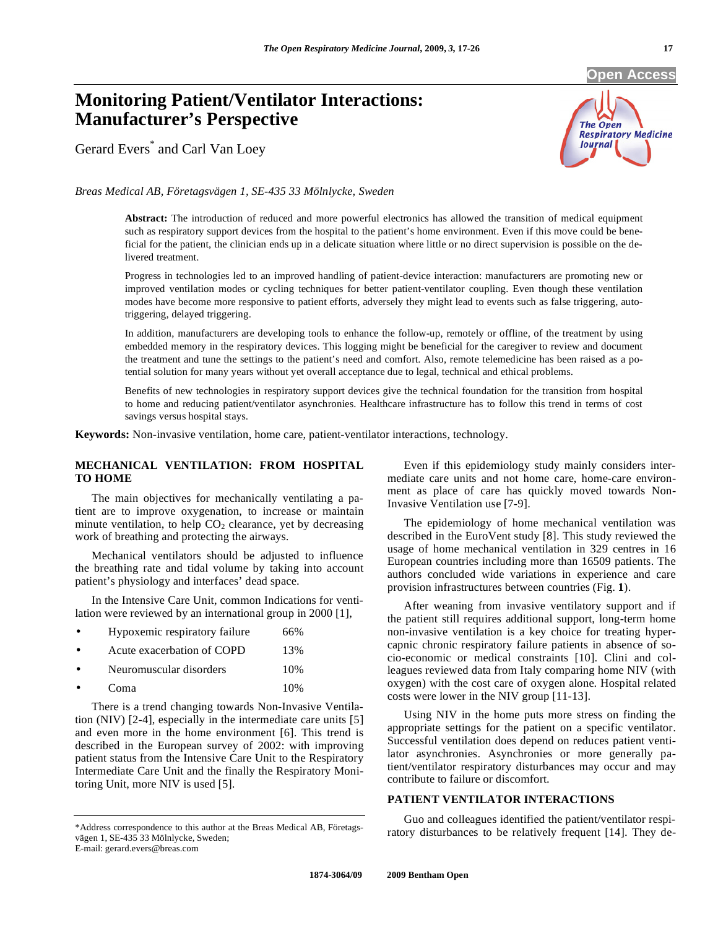**Open Access** 

# **Monitoring Patient/Ventilator Interactions: Manufacturer's Perspective**

Gerard Evers\* and Carl Van Loey



*Breas Medical AB, Företagsvägen 1, SE-435 33 Mölnlycke, Sweden* 

**Abstract:** The introduction of reduced and more powerful electronics has allowed the transition of medical equipment such as respiratory support devices from the hospital to the patient's home environment. Even if this move could be beneficial for the patient, the clinician ends up in a delicate situation where little or no direct supervision is possible on the delivered treatment.

Progress in technologies led to an improved handling of patient-device interaction: manufacturers are promoting new or improved ventilation modes or cycling techniques for better patient-ventilator coupling. Even though these ventilation modes have become more responsive to patient efforts, adversely they might lead to events such as false triggering, autotriggering, delayed triggering.

In addition, manufacturers are developing tools to enhance the follow-up, remotely or offline, of the treatment by using embedded memory in the respiratory devices. This logging might be beneficial for the caregiver to review and document the treatment and tune the settings to the patient's need and comfort. Also, remote telemedicine has been raised as a potential solution for many years without yet overall acceptance due to legal, technical and ethical problems.

Benefits of new technologies in respiratory support devices give the technical foundation for the transition from hospital to home and reducing patient/ventilator asynchronies. Healthcare infrastructure has to follow this trend in terms of cost savings versus hospital stays.

**Keywords:** Non-invasive ventilation, home care, patient-ventilator interactions, technology.

## **MECHANICAL VENTILATION: FROM HOSPITAL TO HOME**

 The main objectives for mechanically ventilating a patient are to improve oxygenation, to increase or maintain minute ventilation, to help  $CO<sub>2</sub>$  clearance, yet by decreasing work of breathing and protecting the airways.

 Mechanical ventilators should be adjusted to influence the breathing rate and tidal volume by taking into account patient's physiology and interfaces' dead space.

 In the Intensive Care Unit, common Indications for ventilation were reviewed by an international group in 2000 [1],

| $\bullet$ | Hypoxemic respiratory failure | 66% |
|-----------|-------------------------------|-----|
| $\bullet$ | Acute exacerbation of COPD    | 13% |
| $\bullet$ | Neuromuscular disorders       | 10% |
| $\bullet$ | Coma                          | 10% |

 There is a trend changing towards Non-Invasive Ventilation (NIV) [2-4], especially in the intermediate care units [5] and even more in the home environment [6]. This trend is described in the European survey of 2002: with improving patient status from the Intensive Care Unit to the Respiratory Intermediate Care Unit and the finally the Respiratory Monitoring Unit, more NIV is used [5].

\*Address correspondence to this author at the Breas Medical AB, Företagsvägen 1, SE-435 33 Mölnlycke, Sweden; E-mail: gerard.evers@breas.com

 Even if this epidemiology study mainly considers intermediate care units and not home care, home-care environment as place of care has quickly moved towards Non-Invasive Ventilation use [7-9].

 The epidemiology of home mechanical ventilation was described in the EuroVent study [8]. This study reviewed the usage of home mechanical ventilation in 329 centres in 16 European countries including more than 16509 patients. The authors concluded wide variations in experience and care provision infrastructures between countries (Fig. **1**).

 After weaning from invasive ventilatory support and if the patient still requires additional support, long-term home non-invasive ventilation is a key choice for treating hypercapnic chronic respiratory failure patients in absence of socio-economic or medical constraints [10]. Clini and colleagues reviewed data from Italy comparing home NIV (with oxygen) with the cost care of oxygen alone. Hospital related costs were lower in the NIV group [11-13].

 Using NIV in the home puts more stress on finding the appropriate settings for the patient on a specific ventilator. Successful ventilation does depend on reduces patient ventilator asynchronies. Asynchronies or more generally patient/ventilator respiratory disturbances may occur and may contribute to failure or discomfort.

# **PATIENT VENTILATOR INTERACTIONS**

 Guo and colleagues identified the patient/ventilator respiratory disturbances to be relatively frequent [14]. They de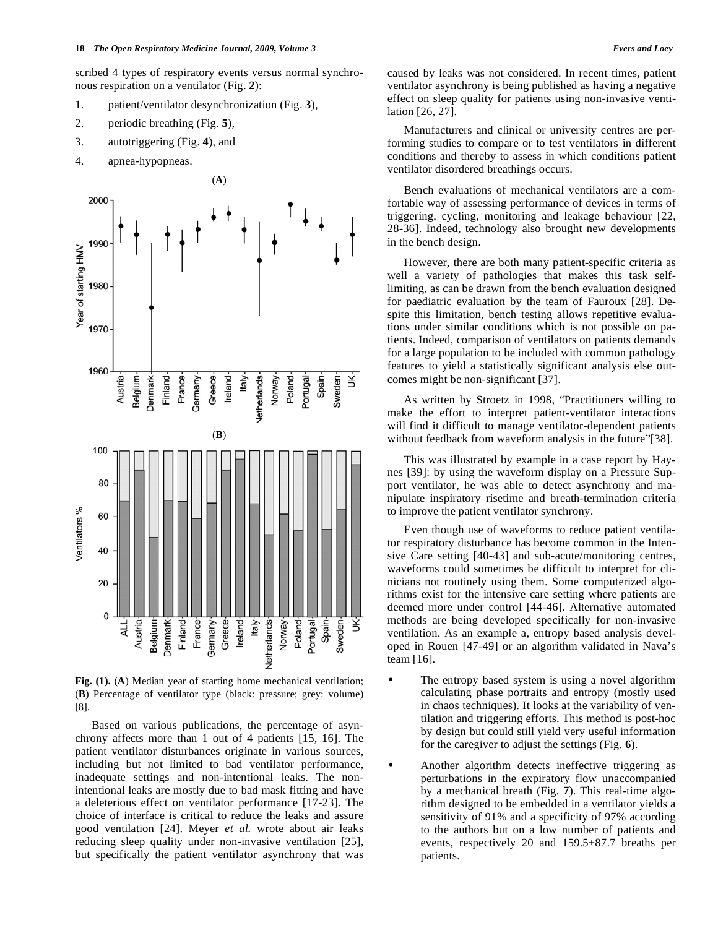scribed 4 types of respiratory events versus normal synchronous respiration on a ventilator (Fig. **2**):

- 1. patient/ventilator desynchronization (Fig. **3**),
- 2. periodic breathing (Fig. **5**),
- 3. autotriggering (Fig. **4**), and
- 4. apnea-hypopneas.



**Fig. (1).** (**A**) Median year of starting home mechanical ventilation; (**B**) Percentage of ventilator type (black: pressure; grey: volume) [8].

 Based on various publications, the percentage of asynchrony affects more than 1 out of 4 patients [15, 16]. The patient ventilator disturbances originate in various sources, including but not limited to bad ventilator performance, inadequate settings and non-intentional leaks. The nonintentional leaks are mostly due to bad mask fitting and have a deleterious effect on ventilator performance [17-23]. The choice of interface is critical to reduce the leaks and assure good ventilation [24]. Meyer *et al.* wrote about air leaks reducing sleep quality under non-invasive ventilation [25], but specifically the patient ventilator asynchrony that was

caused by leaks was not considered. In recent times, patient ventilator asynchrony is being published as having a negative effect on sleep quality for patients using non-invasive ventilation [26, 27].

 Manufacturers and clinical or university centres are performing studies to compare or to test ventilators in different conditions and thereby to assess in which conditions patient ventilator disordered breathings occurs.

 Bench evaluations of mechanical ventilators are a comfortable way of assessing performance of devices in terms of triggering, cycling, monitoring and leakage behaviour [22, 28-36]. Indeed, technology also brought new developments in the bench design.

 However, there are both many patient-specific criteria as well a variety of pathologies that makes this task selflimiting, as can be drawn from the bench evaluation designed for paediatric evaluation by the team of Fauroux [28]. Despite this limitation, bench testing allows repetitive evaluations under similar conditions which is not possible on patients. Indeed, comparison of ventilators on patients demands for a large population to be included with common pathology features to yield a statistically significant analysis else outcomes might be non-significant [37].

 As written by Stroetz in 1998, "Practitioners willing to make the effort to interpret patient-ventilator interactions will find it difficult to manage ventilator-dependent patients without feedback from waveform analysis in the future"[38].

 This was illustrated by example in a case report by Haynes [39]: by using the waveform display on a Pressure Support ventilator, he was able to detect asynchrony and manipulate inspiratory risetime and breath-termination criteria to improve the patient ventilator synchrony.

 Even though use of waveforms to reduce patient ventilator respiratory disturbance has become common in the Intensive Care setting [40-43] and sub-acute/monitoring centres, waveforms could sometimes be difficult to interpret for clinicians not routinely using them. Some computerized algorithms exist for the intensive care setting where patients are deemed more under control [44-46]. Alternative automated methods are being developed specifically for non-invasive ventilation. As an example a, entropy based analysis developed in Rouen [47-49] or an algorithm validated in Nava's team [16].

- The entropy based system is using a novel algorithm calculating phase portraits and entropy (mostly used in chaos techniques). It looks at the variability of ventilation and triggering efforts. This method is post-hoc by design but could still yield very useful information for the caregiver to adjust the settings (Fig. **6**).
	- Another algorithm detects ineffective triggering as perturbations in the expiratory flow unaccompanied by a mechanical breath (Fig. **7**). This real-time algorithm designed to be embedded in a ventilator yields a sensitivity of 91% and a specificity of 97% according to the authors but on a low number of patients and events, respectively 20 and 159.5±87.7 breaths per patients.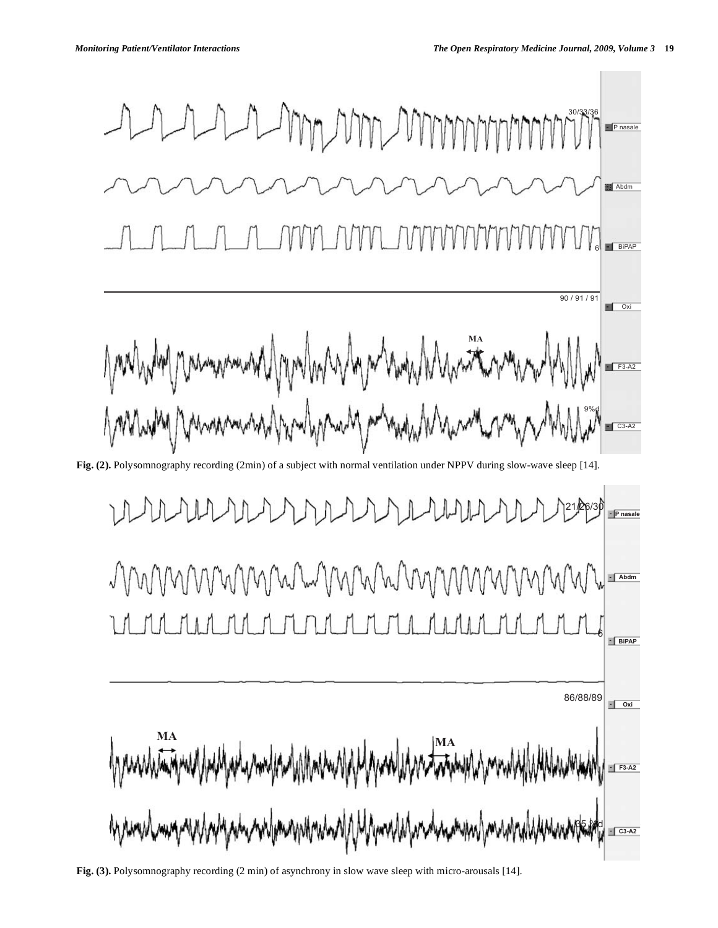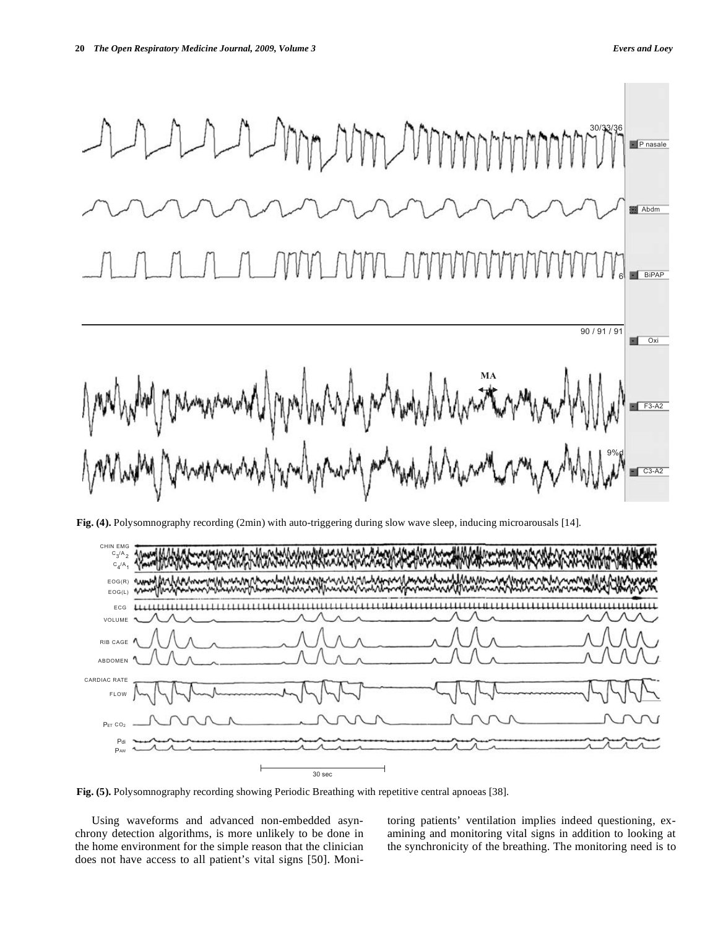

**Fig. (4).** Polysomnography recording (2min) with auto-triggering during slow wave sleep, inducing microarousals [14].



**Fig. (5).** Polysomnography recording showing Periodic Breathing with repetitive central apnoeas [38].

 Using waveforms and advanced non-embedded asynchrony detection algorithms, is more unlikely to be done in the home environment for the simple reason that the clinician does not have access to all patient's vital signs [50]. Monitoring patients' ventilation implies indeed questioning, examining and monitoring vital signs in addition to looking at the synchronicity of the breathing. The monitoring need is to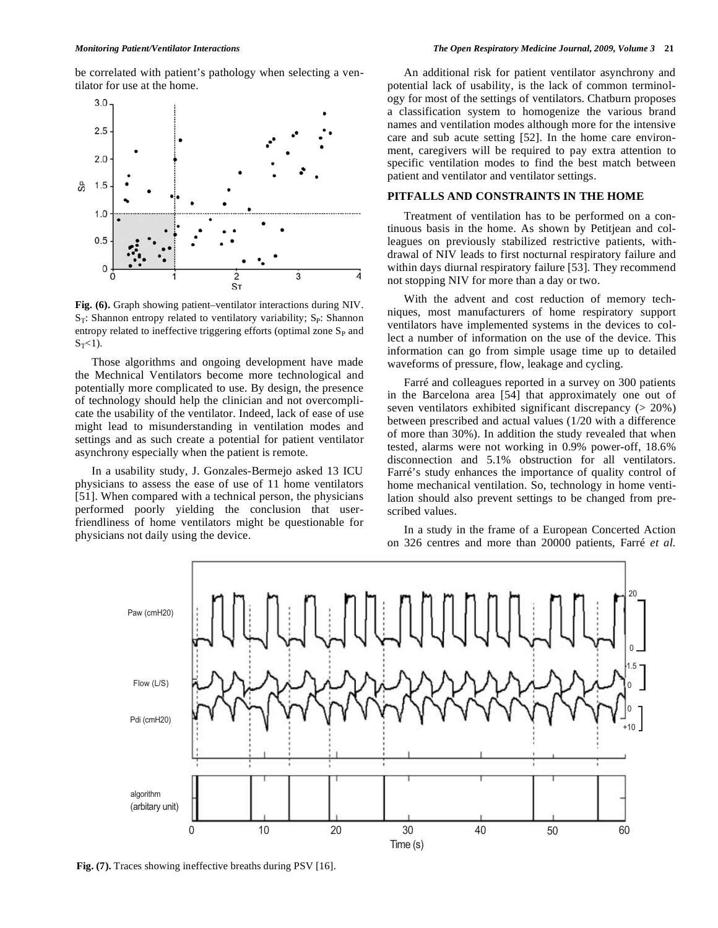be correlated with patient's pathology when selecting a ventilator for use at the home.



**Fig. (6).** Graph showing patient–ventilator interactions during NIV.  $S_T$ : Shannon entropy related to ventilatory variability;  $S_P$ : Shannon entropy related to ineffective triggering efforts (optimal zone  $S<sub>P</sub>$  and  $S_T<1$ ).

 Those algorithms and ongoing development have made the Mechnical Ventilators become more technological and potentially more complicated to use. By design, the presence of technology should help the clinician and not overcomplicate the usability of the ventilator. Indeed, lack of ease of use might lead to misunderstanding in ventilation modes and settings and as such create a potential for patient ventilator asynchrony especially when the patient is remote.

 In a usability study, J. Gonzales-Bermejo asked 13 ICU physicians to assess the ease of use of 11 home ventilators [51]. When compared with a technical person, the physicians performed poorly yielding the conclusion that userfriendliness of home ventilators might be questionable for physicians not daily using the device.

 An additional risk for patient ventilator asynchrony and potential lack of usability, is the lack of common terminology for most of the settings of ventilators. Chatburn proposes a classification system to homogenize the various brand names and ventilation modes although more for the intensive care and sub acute setting [52]. In the home care environment, caregivers will be required to pay extra attention to specific ventilation modes to find the best match between patient and ventilator and ventilator settings.

### **PITFALLS AND CONSTRAINTS IN THE HOME**

 Treatment of ventilation has to be performed on a continuous basis in the home. As shown by Petitjean and colleagues on previously stabilized restrictive patients, withdrawal of NIV leads to first nocturnal respiratory failure and within days diurnal respiratory failure [53]. They recommend not stopping NIV for more than a day or two.

 With the advent and cost reduction of memory techniques, most manufacturers of home respiratory support ventilators have implemented systems in the devices to collect a number of information on the use of the device. This information can go from simple usage time up to detailed waveforms of pressure, flow, leakage and cycling.

 Farré and colleagues reported in a survey on 300 patients in the Barcelona area [54] that approximately one out of seven ventilators exhibited significant discrepancy (> 20%) between prescribed and actual values (1/20 with a difference of more than 30%). In addition the study revealed that when tested, alarms were not working in 0.9% power-off, 18.6% disconnection and 5.1% obstruction for all ventilators. Farré's study enhances the importance of quality control of home mechanical ventilation. So, technology in home ventilation should also prevent settings to be changed from prescribed values.

 In a study in the frame of a European Concerted Action on 326 centres and more than 20000 patients, Farré *et al.* 



**Fig. (7).** Traces showing ineffective breaths during PSV [16].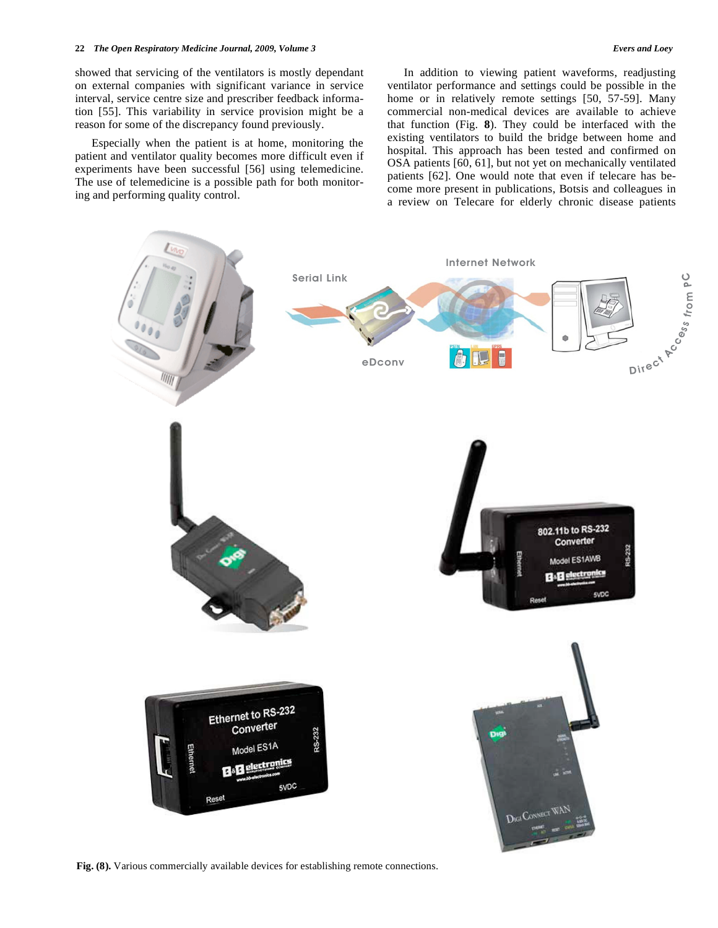### **22** *The Open Respiratory Medicine Journal, 2009, Volume 3 Evers and Loey*

showed that servicing of the ventilators is mostly dependant on external companies with significant variance in service interval, service centre size and prescriber feedback information [55]. This variability in service provision might be a reason for some of the discrepancy found previously.

 Especially when the patient is at home, monitoring the patient and ventilator quality becomes more difficult even if experiments have been successful [56] using telemedicine. The use of telemedicine is a possible path for both monitoring and performing quality control.

 In addition to viewing patient waveforms, readjusting ventilator performance and settings could be possible in the home or in relatively remote settings [50, 57-59]. Many commercial non-medical devices are available to achieve that function (Fig. **8**). They could be interfaced with the existing ventilators to build the bridge between home and hospital. This approach has been tested and confirmed on OSA patients [60, 61], but not yet on mechanically ventilated patients [62]. One would note that even if telecare has become more present in publications, Botsis and colleagues in a review on Telecare for elderly chronic disease patients



Fig. (8). Various commercially available devices for establishing remote connections.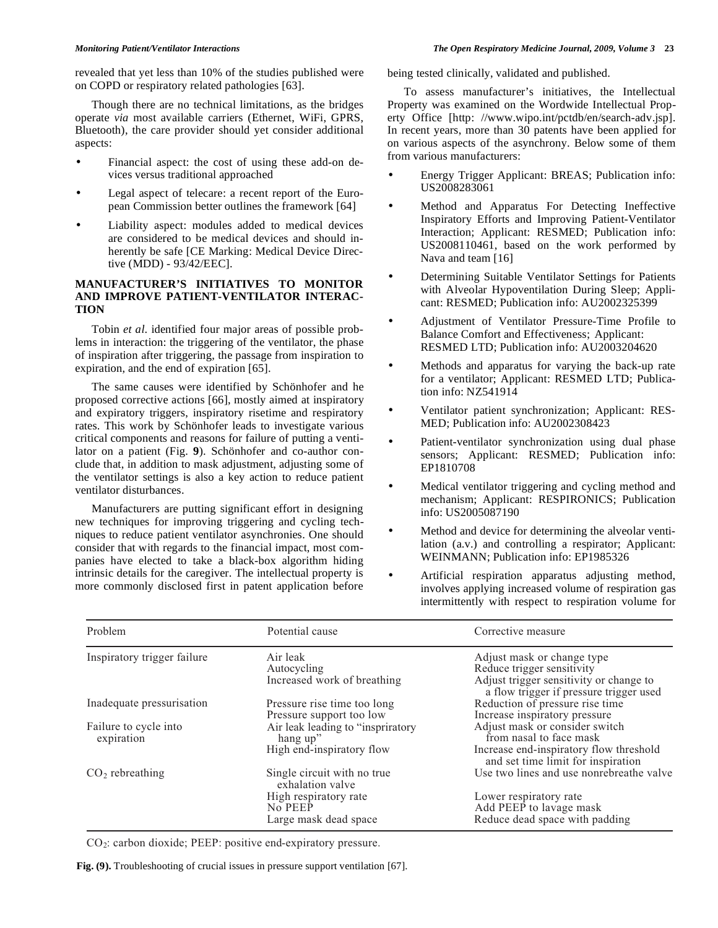revealed that yet less than 10% of the studies published were on COPD or respiratory related pathologies [63].

 Though there are no technical limitations, as the bridges operate *via* most available carriers (Ethernet, WiFi, GPRS, Bluetooth), the care provider should yet consider additional aspects:

- Financial aspect: the cost of using these add-on devices versus traditional approached
- Legal aspect of telecare: a recent report of the European Commission better outlines the framework [64]
- Liability aspect: modules added to medical devices are considered to be medical devices and should inherently be safe [CE Marking: Medical Device Directive (MDD) - 93/42/EEC].

## **MANUFACTURER'S INITIATIVES TO MONITOR AND IMPROVE PATIENT-VENTILATOR INTERAC-TION**

 Tobin *et al*. identified four major areas of possible problems in interaction: the triggering of the ventilator, the phase of inspiration after triggering, the passage from inspiration to expiration, and the end of expiration [65].

 The same causes were identified by Schönhofer and he proposed corrective actions [66], mostly aimed at inspiratory and expiratory triggers, inspiratory risetime and respiratory rates. This work by Schönhofer leads to investigate various critical components and reasons for failure of putting a ventilator on a patient (Fig. **9**). Schönhofer and co-author conclude that, in addition to mask adjustment, adjusting some of the ventilator settings is also a key action to reduce patient ventilator disturbances.

 Manufacturers are putting significant effort in designing new techniques for improving triggering and cycling techniques to reduce patient ventilator asynchronies. One should consider that with regards to the financial impact, most companies have elected to take a black-box algorithm hiding intrinsic details for the caregiver. The intellectual property is more commonly disclosed first in patent application before

being tested clinically, validated and published.

 To assess manufacturer's initiatives, the Intellectual Property was examined on the Wordwide Intellectual Property Office [http: //www.wipo.int/pctdb/en/search-adv.jsp]. In recent years, more than 30 patents have been applied for on various aspects of the asynchrony. Below some of them from various manufacturers:

- Energy Trigger Applicant: BREAS; Publication info: US2008283061
- Method and Apparatus For Detecting Ineffective Inspiratory Efforts and Improving Patient-Ventilator Interaction; Applicant: RESMED; Publication info: US2008110461, based on the work performed by Nava and team [16]
- Determining Suitable Ventilator Settings for Patients with Alveolar Hypoventilation During Sleep; Applicant: RESMED; Publication info: AU2002325399
- Adjustment of Ventilator Pressure-Time Profile to Balance Comfort and Effectiveness; Applicant: RESMED LTD; Publication info: AU2003204620
- Methods and apparatus for varying the back-up rate for a ventilator; Applicant: RESMED LTD; Publication info: NZ541914
- Ventilator patient synchronization; Applicant: RES-MED; Publication info: AU2002308423
- Patient-ventilator synchronization using dual phase sensors; Applicant: RESMED; Publication info: EP1810708
- Medical ventilator triggering and cycling method and mechanism; Applicant: RESPIRONICS; Publication info: US2005087190
- Method and device for determining the alveolar ventilation (a.v.) and controlling a respirator; Applicant: WEINMANN; Publication info: EP1985326
- Artificial respiration apparatus adjusting method, involves applying increased volume of respiration gas intermittently with respect to respiration volume for

| Problem                             | Potential cause                                 | Corrective measure                                                                 |
|-------------------------------------|-------------------------------------------------|------------------------------------------------------------------------------------|
| Inspiratory trigger failure         | Air leak                                        | Adjust mask or change type                                                         |
|                                     | Autocycling                                     | Reduce trigger sensitivity                                                         |
|                                     | Increased work of breathing                     | Adjust trigger sensitivity or change to<br>a flow trigger if pressure trigger used |
| Inadequate pressurisation           | Pressure rise time too long                     | Reduction of pressure rise time                                                    |
|                                     | Pressure support too low                        | Increase inspiratory pressure                                                      |
| Failure to cycle into<br>expiration | Air leak leading to "inspriratory"<br>hang up"  | Adjust mask or consider switch<br>from nasal to face mask                          |
|                                     | High end-inspiratory flow                       | Increase end-inspiratory flow threshold<br>and set time limit for inspiration      |
| $CO2$ rebreathing                   | Single circuit with no true<br>exhalation valve | Use two lines and use nonrebreathe valve                                           |
|                                     | High respiratory rate                           | Lower respiratory rate                                                             |
|                                     | No PEEP                                         | Add PEEP to lavage mask                                                            |
|                                     | Large mask dead space                           | Reduce dead space with padding                                                     |

 $CO<sub>2</sub>$ : carbon dioxide; PEEP: positive end-expiratory pressure.

**Fig. (9).** Troubleshooting of crucial issues in pressure support ventilation [67].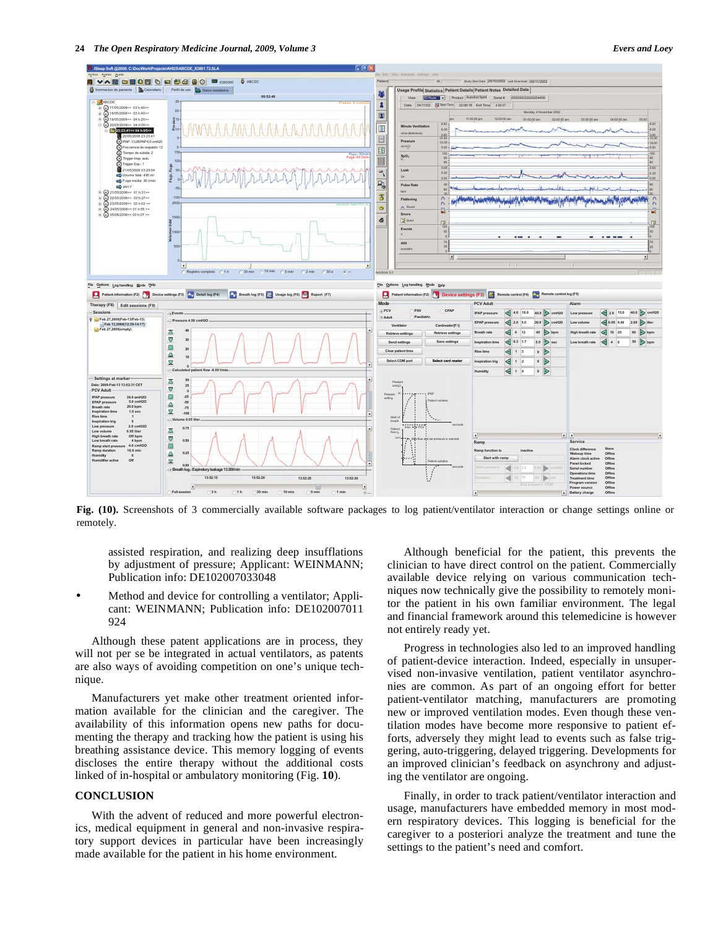

**Fig. (10).** Screenshots of 3 commercially available software packages to log patient/ventilator interaction or change settings online or remotely.

assisted respiration, and realizing deep insufflations by adjustment of pressure; Applicant: WEINMANN; Publication info: DE102007033048

• Method and device for controlling a ventilator; Applicant: WEINMANN; Publication info: DE102007011 924

 Although these patent applications are in process, they will not per se be integrated in actual ventilators, as patents are also ways of avoiding competition on one's unique technique.

 Manufacturers yet make other treatment oriented information available for the clinician and the caregiver. The availability of this information opens new paths for documenting the therapy and tracking how the patient is using his breathing assistance device. This memory logging of events discloses the entire therapy without the additional costs linked of in-hospital or ambulatory monitoring (Fig. **10**).

### **CONCLUSION**

 With the advent of reduced and more powerful electronics, medical equipment in general and non-invasive respiratory support devices in particular have been increasingly made available for the patient in his home environment.

 Although beneficial for the patient, this prevents the clinician to have direct control on the patient. Commercially available device relying on various communication techniques now technically give the possibility to remotely monitor the patient in his own familiar environment. The legal and financial framework around this telemedicine is however not entirely ready yet.

 Progress in technologies also led to an improved handling of patient-device interaction. Indeed, especially in unsupervised non-invasive ventilation, patient ventilator asynchronies are common. As part of an ongoing effort for better patient-ventilator matching, manufacturers are promoting new or improved ventilation modes. Even though these ventilation modes have become more responsive to patient efforts, adversely they might lead to events such as false triggering, auto-triggering, delayed triggering. Developments for an improved clinician's feedback on asynchrony and adjusting the ventilator are ongoing.

 Finally, in order to track patient/ventilator interaction and usage, manufacturers have embedded memory in most modern respiratory devices. This logging is beneficial for the caregiver to a posteriori analyze the treatment and tune the settings to the patient's need and comfort.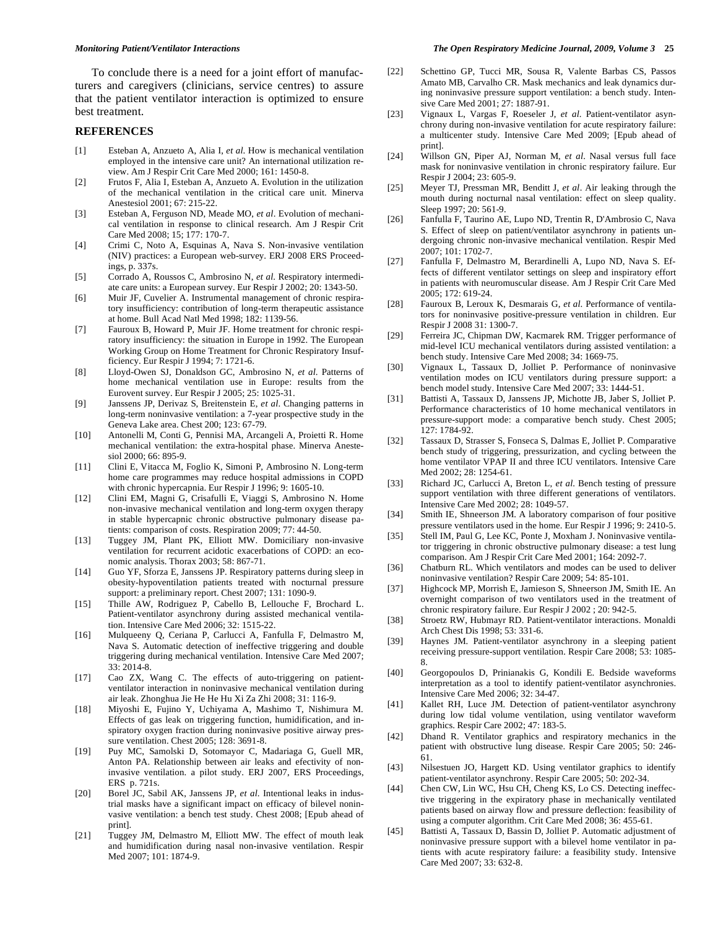To conclude there is a need for a joint effort of manufacturers and caregivers (clinicians, service centres) to assure that the patient ventilator interaction is optimized to ensure best treatment.

### **REFERENCES**

- [1] Esteban A, Anzueto A, Alia I, *et al*. How is mechanical ventilation employed in the intensive care unit? An international utilization review. Am J Respir Crit Care Med 2000; 161: 1450-8.
- [2] Frutos F, Alia I, Esteban A, Anzueto A. Evolution in the utilization of the mechanical ventilation in the critical care unit. Minerva Anestesiol 2001; 67: 215-22.
- [3] Esteban A, Ferguson ND, Meade MO, *et al*. Evolution of mechanical ventilation in response to clinical research. Am J Respir Crit Care Med 2008; 15; 177: 170-7.
- [4] Crimi C, Noto A, Esquinas A, Nava S. Non-invasive ventilation (NIV) practices: a European web-survey. ERJ 2008 ERS Proceedings, p. 337s.
- [5] Corrado A, Roussos C, Ambrosino N, *et al*. Respiratory intermediate care units: a European survey. Eur Respir J 2002; 20: 1343-50.
- [6] Muir JF, Cuvelier A. Instrumental management of chronic respiratory insufficiency: contribution of long-term therapeutic assistance at home. Bull Acad Natl Med 1998; 182: 1139-56.
- [7] Fauroux B, Howard P, Muir JF. Home treatment for chronic respiratory insufficiency: the situation in Europe in 1992. The European Working Group on Home Treatment for Chronic Respiratory Insufficiency. Eur Respir J 1994; 7: 1721-6.
- [8] Lloyd-Owen SJ, Donaldson GC, Ambrosino N, *et al*. Patterns of home mechanical ventilation use in Europe: results from the Eurovent survey. Eur Respir J 2005; 25: 1025-31.
- [9] Janssens JP, Derivaz S, Breitenstein E, *et al*. Changing patterns in long-term noninvasive ventilation: a 7-year prospective study in the Geneva Lake area. Chest 200; 123: 67-79.
- [10] Antonelli M, Conti G, Pennisi MA, Arcangeli A, Proietti R. Home mechanical ventilation: the extra-hospital phase. Minerva Anestesiol 2000; 66: 895-9.
- [11] Clini E, Vitacca M, Foglio K, Simoni P, Ambrosino N. Long-term home care programmes may reduce hospital admissions in COPD with chronic hypercapnia. Eur Respir J 1996; 9: 1605-10.
- [12] Clini EM, Magni G, Crisafulli E, Viaggi S, Ambrosino N. Home non-invasive mechanical ventilation and long-term oxygen therapy in stable hypercapnic chronic obstructive pulmonary disease patients: comparison of costs. Respiration 2009; 77: 44-50.
- [13] Tuggey JM, Plant PK, Elliott MW. Domiciliary non-invasive ventilation for recurrent acidotic exacerbations of COPD: an economic analysis. Thorax 2003; 58: 867-71.
- [14] Guo YF, Sforza E, Janssens JP. Respiratory patterns during sleep in obesity-hypoventilation patients treated with nocturnal pressure support: a preliminary report. Chest 2007; 131: 1090-9.
- [15] Thille AW, Rodriguez P, Cabello B, Lellouche F, Brochard L. Patient-ventilator asynchrony during assisted mechanical ventilation. Intensive Care Med 2006; 32: 1515-22.
- [16] Mulqueeny Q, Ceriana P, Carlucci A, Fanfulla F, Delmastro M, Nava S. Automatic detection of ineffective triggering and double triggering during mechanical ventilation. Intensive Care Med 2007; 33: 2014-8.
- [17] Cao ZX, Wang C. The effects of auto-triggering on patientventilator interaction in noninvasive mechanical ventilation during air leak. Zhonghua Jie He He Hu Xi Za Zhi 2008; 31: 116-9.
- [18] Miyoshi E, Fujino Y, Uchiyama A, Mashimo T, Nishimura M. Effects of gas leak on triggering function, humidification, and inspiratory oxygen fraction during noninvasive positive airway pressure ventilation. Chest 2005; 128: 3691-8.
- [19] Puy MC, Samolski D, Sotomayor C, Madariaga G, Guell MR, Anton PA. Relationship between air leaks and efectivity of noninvasive ventilation. a pilot study. ERJ 2007, ERS Proceedings, ERS p. 721s.
- [20] Borel JC, Sabil AK, Janssens JP, *et al*. Intentional leaks in industrial masks have a significant impact on efficacy of bilevel noninvasive ventilation: a bench test study. Chest 2008; [Epub ahead of print].
- [21] Tuggey JM, Delmastro M, Elliott MW. The effect of mouth leak and humidification during nasal non-invasive ventilation. Respir Med 2007; 101: 1874-9.
- [22] Schettino GP, Tucci MR, Sousa R, Valente Barbas CS, Passos Amato MB, Carvalho CR. Mask mechanics and leak dynamics during noninvasive pressure support ventilation: a bench study. Intensive Care Med 2001; 27: 1887-91.
- [23] Vignaux L, Vargas F, Roeseler J, *et al*. Patient-ventilator asynchrony during non-invasive ventilation for acute respiratory failure: a multicenter study. Intensive Care Med 2009; [Epub ahead of print].
- [24] Willson GN, Piper AJ, Norman M, *et al*. Nasal versus full face mask for noninvasive ventilation in chronic respiratory failure. Eur Respir J 2004; 23: 605-9.
- [25] Meyer TJ, Pressman MR, Benditt J, *et al*. Air leaking through the mouth during nocturnal nasal ventilation: effect on sleep quality. Sleep 1997; 20: 561-9.
- [26] Fanfulla F, Taurino AE, Lupo ND, Trentin R, D'Ambrosio C, Nava S. Effect of sleep on patient/ventilator asynchrony in patients undergoing chronic non-invasive mechanical ventilation. Respir Med 2007; 101: 1702-7.
- [27] Fanfulla F, Delmastro M, Berardinelli A, Lupo ND, Nava S. Effects of different ventilator settings on sleep and inspiratory effort in patients with neuromuscular disease. Am J Respir Crit Care Med 2005; 172: 619-24.
- [28] Fauroux B, Leroux K, Desmarais G, *et al*. Performance of ventilators for noninvasive positive-pressure ventilation in children. Eur Respir J 2008 31: 1300-7.
- [29] Ferreira JC, Chipman DW, Kacmarek RM. Trigger performance of mid-level ICU mechanical ventilators during assisted ventilation: a bench study. Intensive Care Med 2008; 34: 1669-75.
- [30] Vignaux L, Tassaux D, Jolliet P. Performance of noninvasive ventilation modes on ICU ventilators during pressure support: a bench model study. Intensive Care Med 2007; 33: 1444-51.
- [31] Battisti A, Tassaux D, Janssens JP, Michotte JB, Jaber S, Jolliet P. Performance characteristics of 10 home mechanical ventilators in pressure-support mode: a comparative bench study. Chest 2005; 127: 1784-92.
- [32] Tassaux D, Strasser S, Fonseca S, Dalmas E, Jolliet P. Comparative bench study of triggering, pressurization, and cycling between the home ventilator VPAP II and three ICU ventilators. Intensive Care Med 2002; 28: 1254-61.
- [33] Richard JC, Carlucci A, Breton L, *et al*. Bench testing of pressure support ventilation with three different generations of ventilators. Intensive Care Med 2002; 28: 1049-57.
- [34] Smith IE, Shneerson JM. A laboratory comparison of four positive pressure ventilators used in the home. Eur Respir J 1996; 9: 2410-5.
- [35] Stell IM, Paul G, Lee KC, Ponte J, Moxham J. Noninvasive ventilator triggering in chronic obstructive pulmonary disease: a test lung comparison. Am J Respir Crit Care Med 2001; 164: 2092-7.
- [36] Chatburn RL. Which ventilators and modes can be used to deliver noninvasive ventilation? Respir Care 2009; 54: 85-101.
- [37] Highcock MP, Morrish E, Jamieson S, Shneerson JM, Smith IE. An overnight comparison of two ventilators used in the treatment of chronic respiratory failure. Eur Respir J 2002 ; 20: 942-5.
- [38] Stroetz RW, Hubmayr RD. Patient-ventilator interactions. Monaldi Arch Chest Dis 1998; 53: 331-6.
- [39] Haynes JM. Patient-ventilator asynchrony in a sleeping patient receiving pressure-support ventilation. Respir Care 2008; 53: 1085- 8.
- [40] Georgopoulos D, Prinianakis G, Kondili E. Bedside waveforms interpretation as a tool to identify patient-ventilator asynchronies. Intensive Care Med 2006; 32: 34-47.
- [41] Kallet RH, Luce JM. Detection of patient-ventilator asynchrony during low tidal volume ventilation, using ventilator waveform graphics. Respir Care 2002; 47: 183-5.
- [42] Dhand R. Ventilator graphics and respiratory mechanics in the patient with obstructive lung disease. Respir Care 2005; 50: 246- 61.
- [43] Nilsestuen JO, Hargett KD. Using ventilator graphics to identify patient-ventilator asynchrony. Respir Care 2005; 50: 202-34.
- [44] Chen CW, Lin WC, Hsu CH, Cheng KS, Lo CS. Detecting ineffective triggering in the expiratory phase in mechanically ventilated patients based on airway flow and pressure deflection: feasibility of using a computer algorithm. Crit Care Med 2008; 36: 455-61.
- [45] Battisti A, Tassaux D, Bassin D, Jolliet P. Automatic adjustment of noninvasive pressure support with a bilevel home ventilator in patients with acute respiratory failure: a feasibility study. Intensive Care Med 2007; 33: 632-8.